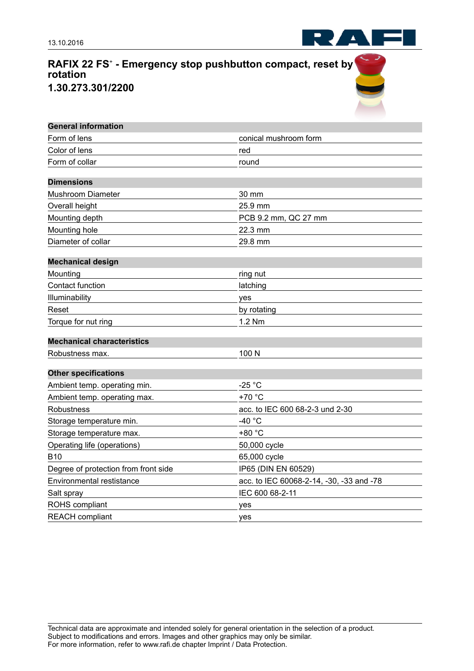

RAF

| <b>General information</b>           |                                          |
|--------------------------------------|------------------------------------------|
| Form of lens                         | conical mushroom form                    |
| Color of lens                        | red                                      |
| Form of collar                       | round                                    |
|                                      |                                          |
| <b>Dimensions</b>                    |                                          |
| <b>Mushroom Diameter</b>             | 30 mm                                    |
| Overall height                       | 25.9 mm                                  |
| Mounting depth                       | PCB 9.2 mm, QC 27 mm                     |
| Mounting hole                        | 22.3 mm                                  |
| Diameter of collar                   | 29.8 mm                                  |
| <b>Mechanical design</b>             |                                          |
| Mounting                             | ring nut                                 |
| Contact function                     | latching                                 |
| Illuminability                       | yes                                      |
| Reset                                | by rotating                              |
| Torque for nut ring                  | 1.2 Nm                                   |
| <b>Mechanical characteristics</b>    |                                          |
| Robustness max.                      | 100 N                                    |
| <b>Other specifications</b>          |                                          |
| Ambient temp. operating min.         | -25 $^{\circ}$ C                         |
| Ambient temp. operating max.         | +70 °C                                   |
| Robustness                           | acc. to IEC 600 68-2-3 und 2-30          |
| Storage temperature min.             | -40 °C                                   |
| Storage temperature max.             | +80 °C                                   |
| Operating life (operations)          | 50,000 cycle                             |
| <b>B10</b>                           | 65,000 cycle                             |
| Degree of protection from front side | IP65 (DIN EN 60529)                      |
| <b>Environmental restistance</b>     | acc. to IEC 60068-2-14, -30, -33 and -78 |
| Salt spray                           | IEC 600 68-2-11                          |
| ROHS compliant                       | yes                                      |
| <b>REACH</b> compliant               | yes                                      |

Technical data are approximate and intended solely for general orientation in the selection of a product. Subject to modifications and errors. Images and other graphics may only be similar. For more information, refer to www.rafi.de chapter Imprint / Data Protection.